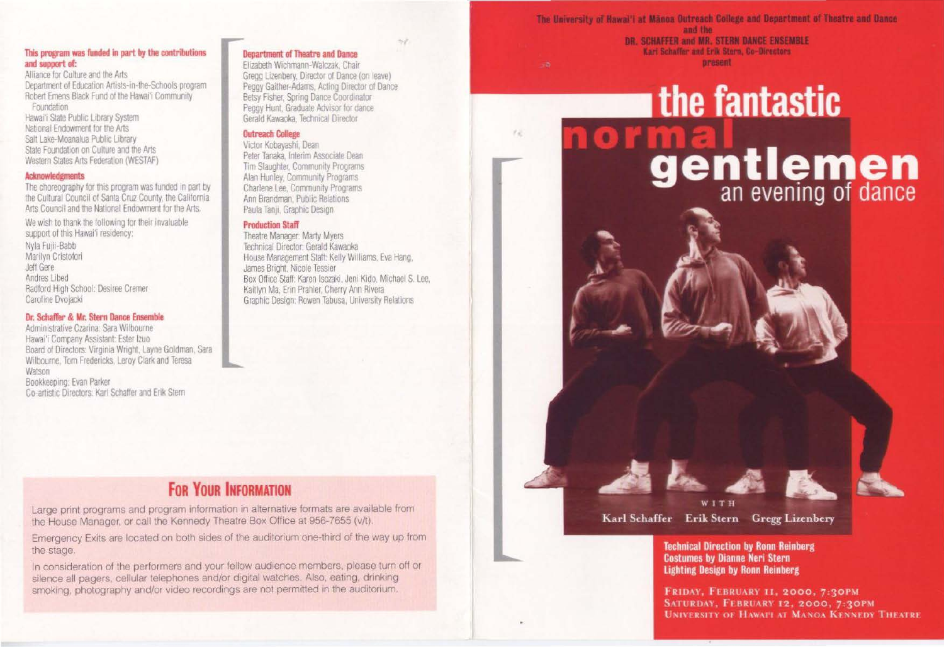#### This program was funded in part by the contributions and support of:

Alliance for Culture and the Arts Department of Education Artists-in-the-Schools program Robert Emens Black Fund of the Hawai'i Community Foundation

Hawai'i State Public Library System National Endowment for the Arts Salt Lake-Moanalua Public Library State Foundation on Culture and the Arts Western States Arts Federation (WESTAF)

#### **Acknowledgments**

The choreography for this program was funded in part by the Cultural Council of Santa Cruz County, the California Arts Council and the National Endowment for the Arts.

We wish to thank the following for their invaluable support of this Hawai'i residency: Nyla Fulli-Babb Marilyn Cristofori Jeff Gere Andres Libed Radford High School: Desiree Cremer Caroline Dvojacki

#### Dr. Schaffer & Mr. Stern Dance Ensemble

Administrative Czarina: Sara Wilbourne Hawai'i Company Assistant: Ester Izuo Board of Directors: Virginia Wright, Layne Goldman, Sara Wilbourne, Tom Fredericks, Leroy Clark and Teresa Watson Bookkeeping: Evan Parker Co-artistic Directors: Karl Schaffer and Erik Stern

**Department of Theatre and Dance** 

Elizabeth Wichmann-Walczak, Chair Gregg Lizenbery, Director of Dance (on leave) Peggy Gaither-Adams, Acting Director of Dance Betsy Fisher, Spring Dance Coordinator Peggy Hunt, Graduate Advisor for dance Gerald Kawaoka, Technical Director

 $\mathcal{E}_{\mathcal{M}}$ 

#### **Outreach College**

Victor Kobavashi, Dean Peter Tanaka, Interim Associate Dean Tim Slaughter, Community Programs Alan Hunley, Community Programs Charlene Lee, Community Programs Ann Brandman, Public Relations Paula Tanii, Graphic Design

#### **Production Staff**

Theatre Manager: Marty Myers Technical Director: Gerald Kawaoka House Management Staff: Kelly Williams, Eva Hang, James Bright, Nicole Tessier Box Office Staff: Karen Isozaki, Jeni Kido, Michael S. Lee, Kaitlyn Ma, Erin Prahler, Cherry Ann Rivera Graphic Design: Rowen Tabusa, University Relations

# **FOR YOUR INFORMATION**

Large print programs and program information in alternative formats are available from the House Manager, or call the Kennedy Theatre Box Office at 956-7655 (v/t).

Emergency Exits are located on both sides of the auditorium one-third of the way up from the stage.

In consideration of the performers and your fellow audience members, please turn off or silence all pagers, cellular telephones and/or digital watches. Also, eating, drinking smoking, photography and/or video recordings are not permitted in the auditorium.

The University of Hawai'i at Manoa Outreach College and Department of Theatre and Dance and the DR. SCHAFFER and MR. STERN DANCE ENSEMBLE Karl Schaffer and Erik Stern, Co-Directors present

# **the fantastic** ormal<br>gentlemen



**Technical Direction by Ronn Reinberg Costumes by Dianne Neri Stern Lighting Design by Ronn Reinberg** 

FRIDAY, FEBRUARY 11, 2000, 7:30PM SATURDAY, FEBRUARY 12, 2000, 7:30PM **UNIVERSITY OF HAWAPI AT MANOA KENNEDY THEATRE** 

**IS**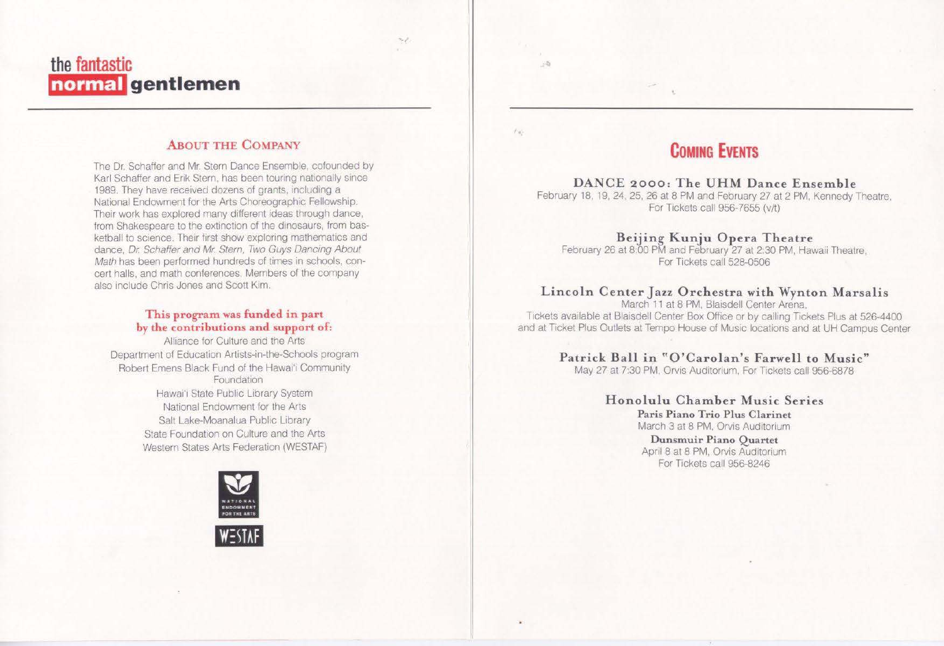# **the fantastic normal gentlemen**

#### **ABOUT THE COMPANY**

The Dr. Schaffer and Mr. Stern Dance Ensemble, cofounded by Karl Schaffer and Erik Stern, has been touring nationally since 1989. They have received dozens of grants, including a National Endowment for the Arts Choreographic Fellowship. Their work has explored many different ideas through dance, from Shakespeare to the extinction of the dinosaurs, from basketball to science. Their first show exploring mathematics and dance, Dr. Schaffer and Mr. Stem, Two Guys Dancing About Math has been performed hundreds of times in schools, concert halls, and math conferences. Members of the company also include Chris Jones and Scott Kim.

#### **This program was funded in part hy the contributions and support of:**

Alliance for Culture and the Arts Department of Education Artists-in-the-Schools program Robert Emens Black Fund of the Hawai'i Community Foundation Hawai'i State Public Library System National Endowment for the Arts Salt Lake-Moanalua Public Library State Foundation on Culture and the Arts Western States Arts Federation (WESTAF)



# **COMING EVENTS**

'·

 $-100$ 

#### **DANCE 2000: The UHM Dance Ensemble**

February 18, 19. 24, 25, 26 at 8 PM and February 27 at 2 PM, Kennedy Theatre, For Tickets call 956-7655 (v/t)

#### **Beijing Kunju Opera Theatre**

February 26 at 8:00 PM and February 27 at 2:30 PM. Hawaii Theatre, For Tickets call 528-0506

#### **Lincoln Center Jazz Orchestra with Wynton Marsalis**

March 11 at 8 PM, Blaisdell Center Arena, Tickets available at Blaisdell Center Box Office or by calling Tickets Plus at 526-4400 and at Ticket Plus Outlets at Tempo House of Music locations and at UH Campus Center

#### **Patrick BaJJ in "O'Carolan's Farwe1l to Music"**

May 27 at 7:30 PM, Orvis Auditorium, For Tickets call 956-6878

#### **Honolulu Chamber Music Series**

**Paris Piano Trio Plus Clarinet**  March 3 at 8 PM, Orvis Auditorium

**Dunsmuir Piano Quartet**  April 8 at 8 PM, Orvis Auditorium For Tickets call 956-8246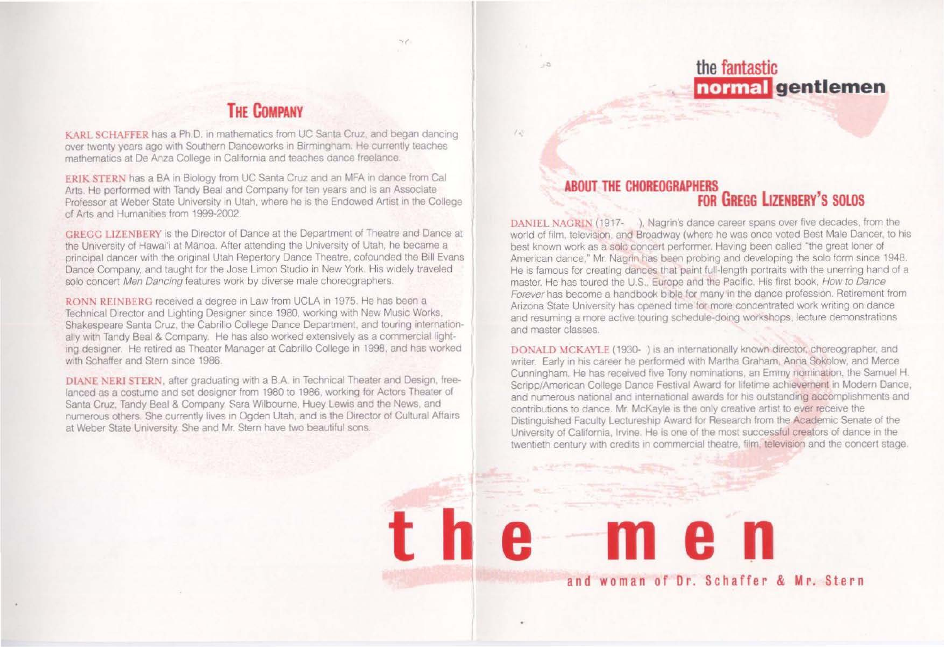# **the fantastic normal gentlemen**

# **THE COMPANY**

KARL SCHAFFER has a Ph.D. in mathematics from UC Santa Cruz, and began dancing over twenty years ago with Southern Danceworks in Birmingham. He currently teaches mathematics at De Anza College in California and teaches dance freelance.

ERIK STERN has a BA in Biology from UC Santa Cruz and an MFA in dance from Cal Arts. He performed with Tandy Beal and Company for ten years and is an Associate Professor at Weber State University in Utah, where he is the Endowed Artist in the College of Arts and Humanities from 1999-2002.

CRECC UZENBERY IS the Director of Dance at the Department of Theatre and Dance at the University of Hawai'i at Mănoa. After attending the University of Utah, he became a principal dancer with the original Utah Repertory Dance Theatre, cofounded the Bill Evans Dance Company, and taught for the Jose Limon Studio in New York. His widely traveled solo concert Men Dancing features work by diverse male choreographers.

RONN REINBERG received a degree in Law from UCLA in 1975. He has been a Technical Director and Lighting Designer since 1980, working with New Music Works, Shakespeare Santa Cruz, the Cabrillo College Dance Department, and touring internationally with Tandy Beal & Company. He has also worked extensively as a commercial lighting designer. He retired as Theater Manager at Cabrillo College in 1998, and has worked with Schaffer and Stern since 1986.

DIANE NERI STERN, after graduating with a B.A. in Technical Theater and Design, freelanced as a costume and set designer from 1980 to 1986. working for Actors Theater of Santa Cruz. Tandy Beal & Company Sara Wilbourne. Huey Lewis and the News. and numerous others. She currently lives in Ogden Utah, and is the Director of Cultural Affairs at Weber State University. She and Mr. Stern have two beautiful sons.

#### **ABOUT THE CHOREOGRAPHERS FOR GREGG LIZENBERY'S SOLOS**

'·

 $-5$ 

DANIEL NAGRIN (1917- ). Nagrin's dance career spans over five decades, from the world of film, television, and Broadway (where he was once voted Best Male Dancer, to his best known work as a solo concert performer. Having been called "the great loner of American dance," Mr. Nagrin has been probing and developing the solo form since 1948. He is famous for creating dances that paint full-length portraits with the unerring hand of a master. He has toured the U.S., Europe and the Pacific. His first book, How to Dance Forever has become a handbook bible for many in the dance profession. Retirement from Arizona State University has opened time for more concentrated work writing on dance and resuming a more active touring schedule-doing workshops, lecture demonstrations and master classes.

DONALD MCKAYLE (1930- ) is an internationally known director, choreographer, and writer. Early in his career he performed with Martha Graham, Anna Sokolow, and Merce Cunningham. He has received five Tony nominations, an Emmy nomination, the Samuel H. Scripp/American College Dance Festival Award for lifetime achievement in Modern Dance, and numerous national and international awards for his outstanding accomplishments and contributions to dance. Mr. McKayle is the only creative artist to ever receive the Distinguished Faculty Lectureship Award for Research from the Academic Senate of the University of California, Irvine. He is one of the most successful creators of dance in the twentieth century with credits in commercial theatre, film, television and the concert stage.

**and woman of Or. Schaffer & Mr. Stern** 

**the men**